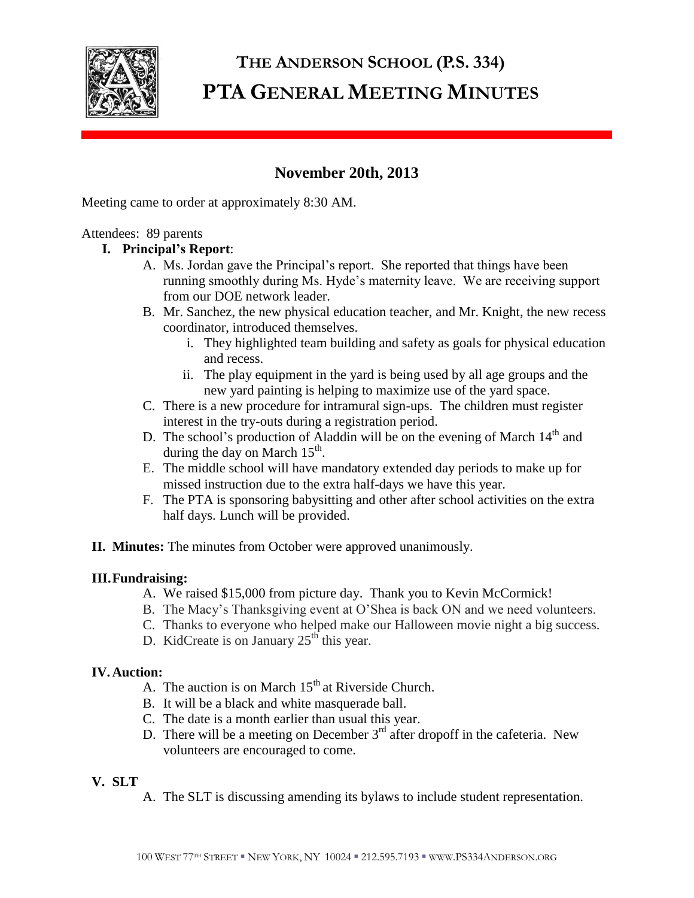

# **THE ANDERSON SCHOOL (P.S. 334) PTA GENERAL MEETING MINUTES**

# **November 20th, 2013**

Meeting came to order at approximately 8:30 AM.

# Attendees: 89 parents

# **I. Principal's Report**:

- A. Ms. Jordan gave the Principal's report. She reported that things have been running smoothly during Ms. Hyde's maternity leave. We are receiving support from our DOE network leader.
- B. Mr. Sanchez, the new physical education teacher, and Mr. Knight, the new recess coordinator, introduced themselves.
	- i. They highlighted team building and safety as goals for physical education and recess.
	- ii. The play equipment in the yard is being used by all age groups and the new yard painting is helping to maximize use of the yard space.
- C. There is a new procedure for intramural sign-ups. The children must register interest in the try-outs during a registration period.
- D. The school's production of Aladdin will be on the evening of March  $14<sup>th</sup>$  and during the day on March  $15<sup>th</sup>$ .
- E. The middle school will have mandatory extended day periods to make up for missed instruction due to the extra half-days we have this year.
- F. The PTA is sponsoring babysitting and other after school activities on the extra half days. Lunch will be provided.
- **II. Minutes:** The minutes from October were approved unanimously.

# **III.Fundraising:**

- A. We raised \$15,000 from picture day. Thank you to Kevin McCormick!
- B. The Macy's Thanksgiving event at O'Shea is back ON and we need volunteers.
- C. Thanks to everyone who helped make our Halloween movie night a big success.
- D. KidCreate is on January  $25<sup>th</sup>$  this year.

# **IV.Auction:**

- A. The auction is on March  $15<sup>th</sup>$  at Riverside Church.
- B. It will be a black and white masquerade ball.
- C. The date is a month earlier than usual this year.
- D. There will be a meeting on December  $3<sup>rd</sup>$  after dropoff in the cafeteria. New volunteers are encouraged to come.

# **V. SLT**

A. The SLT is discussing amending its bylaws to include student representation.